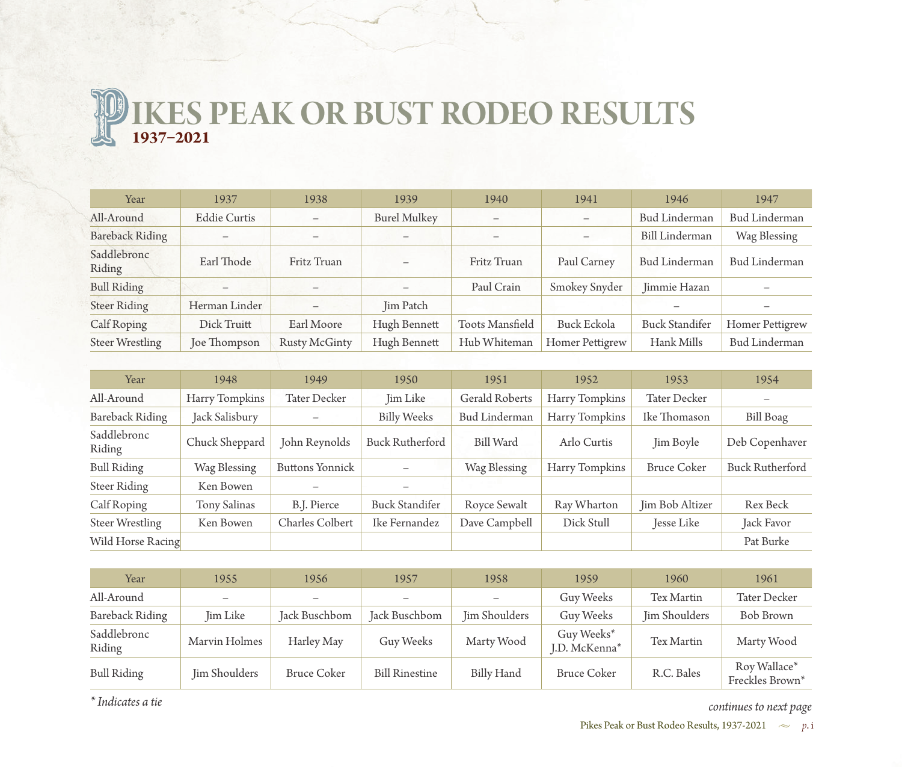**IKES PEAK OR BUST RODEO RESULTS 1937–2021**

| Year                   | 1937                | 1938              | 1939                     | 1940                   | 1941               | 1946                  | 1947                   |
|------------------------|---------------------|-------------------|--------------------------|------------------------|--------------------|-----------------------|------------------------|
| All-Around             | <b>Eddie Curtis</b> | $\equiv$          | <b>Burel Mulkey</b>      | -                      |                    | <b>Bud Linderman</b>  | <b>Bud Linderman</b>   |
| <b>Bareback Riding</b> |                     | $\qquad \qquad -$ |                          |                        | $\qquad \qquad -$  | <b>Bill Linderman</b> | Wag Blessing           |
| Saddlebronc<br>Riding  | Earl Thode          | Fritz Truan       | $\overline{\phantom{0}}$ | Fritz Truan            | Paul Carney        | Bud Linderman         | Bud Linderman          |
| <b>Bull Riding</b>     |                     |                   |                          | Paul Crain             | Smokey Snyder      | Jimmie Hazan          |                        |
| <b>Steer Riding</b>    | Herman Linder       |                   | Jim Patch                |                        |                    |                       |                        |
| Calf Roping            | Dick Truitt         | Earl Moore        | Hugh Bennett             | <b>Toots Mansfield</b> | <b>Buck Eckola</b> | <b>Buck Standifer</b> | <b>Homer Pettigrew</b> |
| <b>Steer Wrestling</b> | Joe Thompson        | Rusty McGinty     | Hugh Bennett             | Hub Whiteman           | Homer Pettigrew    | Hank Mills            | Bud Linderman          |

| Year                   | 1948           | 1949                     | 1950                   | 1951                 | 1952           | 1953               | 1954                   |
|------------------------|----------------|--------------------------|------------------------|----------------------|----------------|--------------------|------------------------|
| All-Around             | Harry Tompkins | <b>Tater Decker</b>      | Jim Like               | Gerald Roberts       | Harry Tompkins | Tater Decker       |                        |
| <b>Bareback Riding</b> | Jack Salisbury | $\overline{\phantom{0}}$ | <b>Billy Weeks</b>     | <b>Bud Linderman</b> | Harry Tompkins | Ike Thomason       | <b>Bill Boag</b>       |
| Saddlebronc<br>Riding  | Chuck Sheppard | John Reynolds            | <b>Buck Rutherford</b> | <b>Bill Ward</b>     | Arlo Curtis    | Jim Boyle          | Deb Copenhaver         |
| <b>Bull Riding</b>     | Wag Blessing   | <b>Buttons Yonnick</b>   |                        | Wag Blessing         | Harry Tompkins | <b>Bruce Coker</b> | <b>Buck Rutherford</b> |
| Steer Riding           | Ken Bowen      |                          |                        |                      |                |                    |                        |
| Calf Roping            | Tony Salinas   | B.J. Pierce              | <b>Buck Standifer</b>  | Royce Sewalt         | Ray Wharton    | Jim Bob Altizer    | Rex Beck               |
| <b>Steer Wrestling</b> | Ken Bowen      | <b>Charles Colbert</b>   | Ike Fernandez          | Dave Campbell        | Dick Stull     | Jesse Like         | Jack Favor             |
| Wild Horse Racing      |                |                          |                        |                      |                |                    | Pat Burke              |

| Year                   | 1955          | 1956                     | 1957                  | 1958          | 1959                           | 1960          | 1961                            |
|------------------------|---------------|--------------------------|-----------------------|---------------|--------------------------------|---------------|---------------------------------|
| All-Around             |               | $\overline{\phantom{0}}$ |                       |               | Guy Weeks                      | Tex Martin    | Tater Decker                    |
| <b>Bareback Riding</b> | Jim Like      | Jack Buschbom            | Jack Buschbom         | Jim Shoulders | Guy Weeks                      | Jim Shoulders | Bob Brown                       |
| Saddlebronc<br>Riding  | Marvin Holmes | Harley May               | Guy Weeks             | Marty Wood    | Guy Weeks $*$<br>J.D. McKenna* | Tex Martin    | Marty Wood                      |
| <b>Bull Riding</b>     | Jim Shoulders | <b>Bruce Coker</b>       | <b>Bill Rinestine</b> | Billy Hand    | <b>Bruce Coker</b>             | R.C. Bales    | Roy Wallace*<br>Freckles Brown* |

*\* Indicates a tie*

*continues to next page*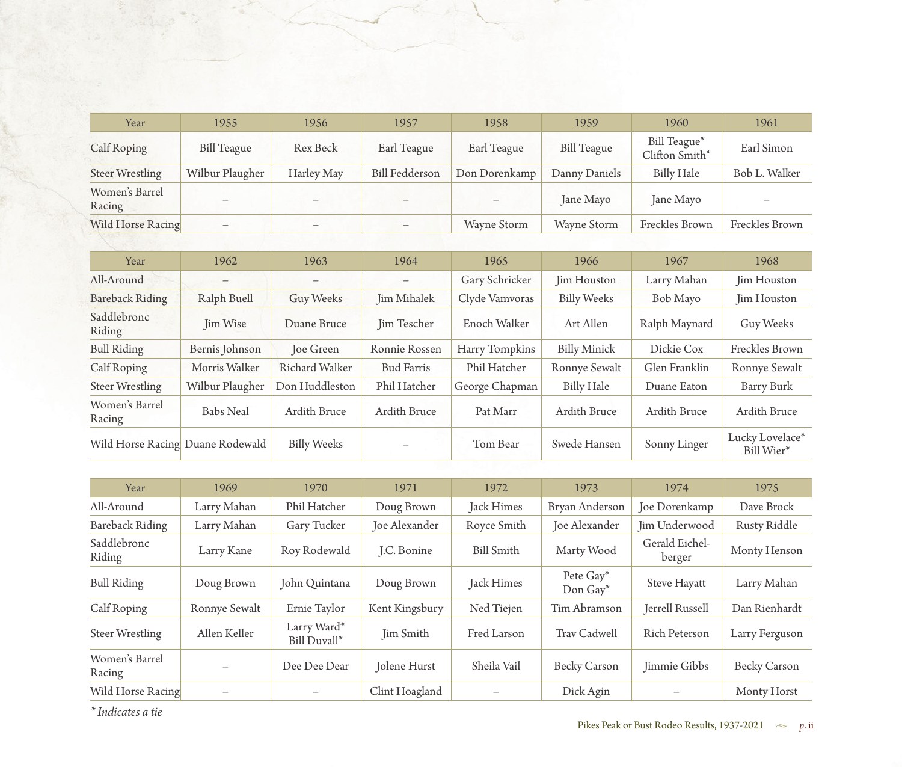| Year                     | 1955                     | 1956                     | 1957                     | 1958               | 1959               | 1960                           | 1961           |
|--------------------------|--------------------------|--------------------------|--------------------------|--------------------|--------------------|--------------------------------|----------------|
| Calf Roping              | <b>Bill Teague</b>       | Rex Beck                 | Earl Teague              | Earl Teague        | <b>Bill Teague</b> | Bill Teague*<br>Clifton Smith* | Earl Simon     |
| <b>Steer Wrestling</b>   | Wilbur Plaugher          | Harley May               | <b>Bill Fedderson</b>    | Don Dorenkamp      | Danny Daniels      | <b>Billy Hale</b>              | Bob L. Walker  |
| Women's Barrel<br>Racing | $\overline{\phantom{0}}$ |                          |                          |                    | Jane Mayo          | Jane Mayo                      |                |
| Wild Horse Racing        | $\equiv$                 | $\overline{\phantom{0}}$ | $\overline{\phantom{m}}$ | <b>Wayne Storm</b> | <b>Wayne Storm</b> | Freckles Brown                 | Freckles Brown |

| Year                             | 1962             | 1963                     | 1964                     | 1965           | 1966                | 1967          | 1968                          |
|----------------------------------|------------------|--------------------------|--------------------------|----------------|---------------------|---------------|-------------------------------|
| All-Around                       | —                | $\overline{\phantom{0}}$ | $\overline{\phantom{m}}$ | Gary Schricker | Jim Houston         | Larry Mahan   | Jim Houston                   |
| <b>Bareback Riding</b>           | Ralph Buell      | Guy Weeks                | Jim Mihalek              | Clyde Vamvoras | <b>Billy Weeks</b>  | Bob Mayo      | Jim Houston                   |
| Saddlebronc<br>Riding            | Jim Wise         | Duane Bruce              | Jim Tescher              | Enoch Walker   | Art Allen           | Ralph Maynard | Guy Weeks                     |
| <b>Bull Riding</b>               | Bernis Johnson   | <b>Joe Green</b>         | Ronnie Rossen            | Harry Tompkins | <b>Billy Minick</b> | Dickie Cox    | Freckles Brown                |
| Calf Roping                      | Morris Walker    | Richard Walker           | <b>Bud Farris</b>        | Phil Hatcher   | Ronnye Sewalt       | Glen Franklin | Ronnye Sewalt                 |
| Steer Wrestling                  | Wilbur Plaugher  | Don Huddleston           | Phil Hatcher             | George Chapman | <b>Billy Hale</b>   | Duane Eaton   | Barry Burk                    |
| Women's Barrel<br>Racing         | <b>Babs Neal</b> | Ardith Bruce             | <b>Ardith Bruce</b>      | Pat Marr       | Ardith Bruce        | Ardith Bruce  | Ardith Bruce                  |
| Wild Horse Racing Duane Rodewald |                  | <b>Billy Weeks</b>       |                          | Tom Bear       | Swede Hansen        | Sonny Linger  | Lucky Lovelace*<br>Bill Wier* |

| Year                     | 1969          | 1970                        | 1971           | 1972              | 1973                      | 1974                     | 1975           |
|--------------------------|---------------|-----------------------------|----------------|-------------------|---------------------------|--------------------------|----------------|
| All-Around               | Larry Mahan   | Phil Hatcher                | Doug Brown     | Jack Himes        | Bryan Anderson            | Joe Dorenkamp            | Dave Brock     |
| <b>Bareback Riding</b>   | Larry Mahan   | Gary Tucker                 | Joe Alexander  | Royce Smith       | Joe Alexander             | Jim Underwood            | Rusty Riddle   |
| Saddlebronc<br>Riding    | Larry Kane    | Roy Rodewald                | J.C. Bonine    | <b>Bill Smith</b> | Marty Wood                | Gerald Eichel-<br>berger | Monty Henson   |
| <b>Bull Riding</b>       | Doug Brown    | John Quintana               | Doug Brown     | Jack Himes        | Pete Gay*<br>Don Gay $^*$ | Steve Hayatt             | Larry Mahan    |
| Calf Roping              | Ronnye Sewalt | Ernie Taylor                | Kent Kingsbury | Ned Tiejen        | Tim Abramson              | Jerrell Russell          | Dan Rienhardt  |
| Steer Wrestling          | Allen Keller  | Larry Ward*<br>Bill Duvall* | Jim Smith      | Fred Larson       | Trav Cadwell              | <b>Rich Peterson</b>     | Larry Ferguson |
| Women's Barrel<br>Racing |               | Dee Dee Dear                | Jolene Hurst   | Sheila Vail       | <b>Becky Carson</b>       | Jimmie Gibbs             | Becky Carson   |
| Wild Horse Racing        |               |                             | Clint Hoagland |                   | Dick Agin                 |                          | Monty Horst    |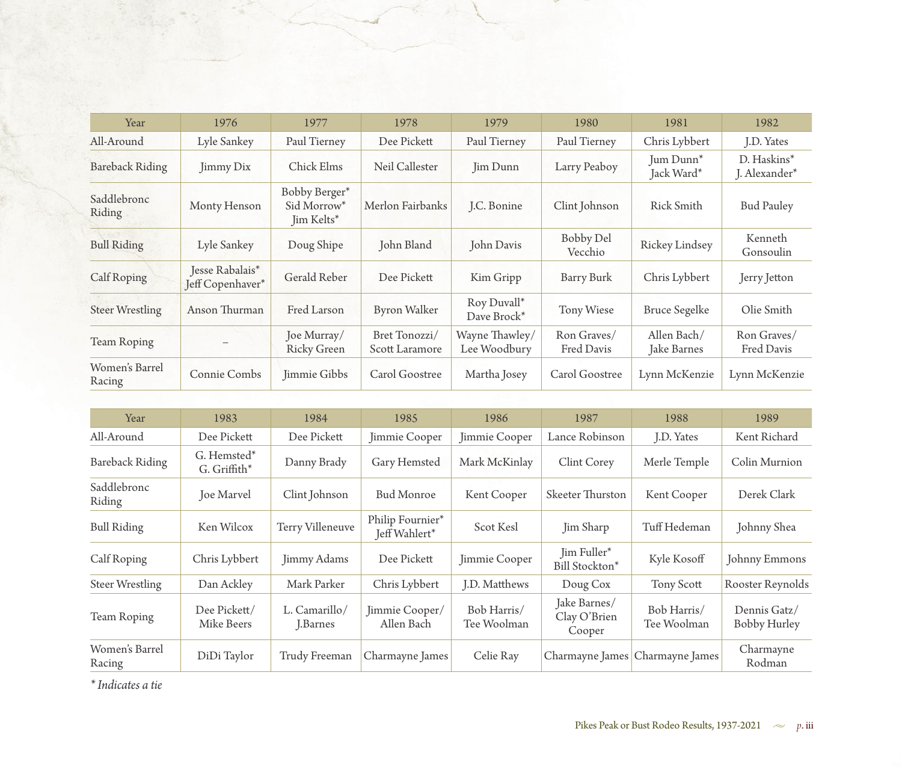| Year                     | 1976                                | 1977                                                   | 1978                            | 1979                           | 1980                        | 1981                                | 1982                         |
|--------------------------|-------------------------------------|--------------------------------------------------------|---------------------------------|--------------------------------|-----------------------------|-------------------------------------|------------------------------|
| All-Around               | Lyle Sankey                         | Paul Tierney                                           | Dee Pickett                     | Paul Tierney                   | Paul Tierney                | Chris Lybbert                       | J.D. Yates                   |
| <b>Bareback Riding</b>   | Jimmy Dix                           | Chick Elms                                             | Neil Callester                  | Jim Dunn                       | Larry Peaboy                | Jum Dunn <sup>*</sup><br>Jack Ward* | D. Haskins*<br>J. Alexander* |
| Saddlebronc<br>Riding    | Monty Henson                        | Bobby Berger*<br>Sid Morrow <sup>*</sup><br>Jim Kelts* | Merlon Fairbanks                | J.C. Bonine                    | Clint Johnson               | <b>Rick Smith</b>                   | <b>Bud Pauley</b>            |
| <b>Bull Riding</b>       | Lyle Sankey                         | Doug Shipe                                             | John Bland                      | John Davis                     | <b>Bobby Del</b><br>Vecchio | Rickey Lindsey                      | Kenneth<br>Gonsoulin         |
| Calf Roping              | Jesse Rabalais*<br>Jeff Copenhaver* | Gerald Reber                                           | Dee Pickett                     | Kim Gripp                      | Barry Burk                  | Chris Lybbert                       | Jerry Jetton                 |
| <b>Steer Wrestling</b>   | Anson Thurman                       | Fred Larson                                            | <b>Byron Walker</b>             | Roy Duvall*<br>Dave Brock*     | Tony Wiese                  | <b>Bruce Segelke</b>                | Olie Smith                   |
| Team Roping              |                                     | Joe Murray/<br><b>Ricky Green</b>                      | Bret Tonozzi/<br>Scott Laramore | Wayne Thawley/<br>Lee Woodbury | Ron Graves/<br>Fred Davis   | Allen Bach/<br>Jake Barnes          | Ron Graves/<br>Fred Davis    |
| Women's Barrel<br>Racing | Connie Combs                        | Jimmie Gibbs                                           | Carol Goostree                  | Martha Josey                   | Carol Goostree              | Lynn McKenzie                       | Lynn McKenzie                |

| Year                     | 1983                          | 1984                      | 1985                              | 1986                       | 1987                                   | 1988                            | 1989                         |
|--------------------------|-------------------------------|---------------------------|-----------------------------------|----------------------------|----------------------------------------|---------------------------------|------------------------------|
| All-Around               | Dee Pickett                   | Dee Pickett               | Jimmie Cooper                     | Jimmie Cooper              | Lance Robinson                         | J.D. Yates                      | Kent Richard                 |
| <b>Bareback Riding</b>   | G. Hemsted*<br>$G.$ Griffith* | Danny Brady               | Gary Hemsted                      | Mark McKinlay              | Clint Corey                            | Merle Temple                    | Colin Murnion                |
| Saddlebronc<br>Riding    | Joe Marvel                    | Clint Johnson             | <b>Bud Monroe</b>                 | Kent Cooper                | Skeeter Thurston                       | Kent Cooper                     | Derek Clark                  |
| <b>Bull Riding</b>       | Ken Wilcox                    | Terry Villeneuve          | Philip Fournier*<br>Jeff Wahlert* | Scot Kesl                  | Jim Sharp                              | Tuff Hedeman                    | Johnny Shea                  |
| Calf Roping              | Chris Lybbert                 | Jimmy Adams               | Dee Pickett                       | Jimmie Cooper              | Jim Fuller*<br>Bill Stockton*          | Kyle Kosoff                     | Johnny Emmons                |
| <b>Steer Wrestling</b>   | Dan Ackley                    | Mark Parker               | Chris Lybbert                     | J.D. Matthews              | Doug Cox                               | Tony Scott                      | Rooster Reynolds             |
| Team Roping              | Dee Pickett/<br>Mike Beers    | L. Camarillo/<br>J.Barnes | Jimmie Cooper/<br>Allen Bach      | Bob Harris/<br>Tee Woolman | Jake Barnes/<br>Clay O'Brien<br>Cooper | Bob Harris/<br>Tee Woolman      | Dennis Gatz/<br>Bobby Hurley |
| Women's Barrel<br>Racing | DiDi Taylor                   | Trudy Freeman             | Charmayne James                   | Celie Ray                  |                                        | Charmayne James Charmayne James | Charmayne<br>Rodman          |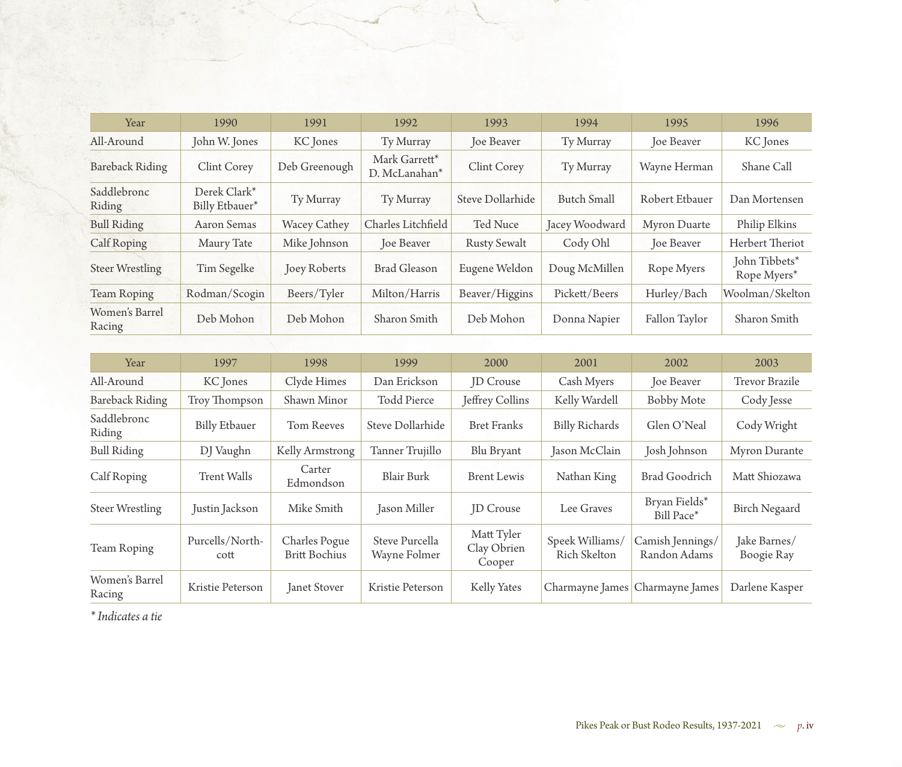| Year                     | 1990                           | 1991                | 1992                           | 1993                | 1994               | 1995              | 1996                         |
|--------------------------|--------------------------------|---------------------|--------------------------------|---------------------|--------------------|-------------------|------------------------------|
| All-Around               | John W. Jones                  | KC Jones            | Ty Murray                      | Joe Beaver          | Ty Murray          | Joe Beaver        | KC Jones                     |
| Bareback Riding          | Clint Corey                    | Deb Greenough       | Mark Garrett*<br>D. McLanahan* | Clint Corey         | Ty Murray          | Wayne Herman      | Shane Call                   |
| Saddlebronc<br>Riding    | Derek Clark*<br>Billy Etbauer* | Ty Murray           | Ty Murray                      | Steve Dollarhide    | <b>Butch Small</b> | Robert Etbauer    | Dan Mortensen                |
| <b>Bull Riding</b>       | Aaron Semas                    | <b>Wacey Cathey</b> | Charles Litchfield             | Ted Nuce            | Jacey Woodward     | Myron Duarte      | Philip Elkins                |
| Calf Roping              | Maury Tate                     | Mike Johnson        | <b>Joe Beaver</b>              | <b>Rusty Sewalt</b> | Cody Ohl           | <b>Joe Beaver</b> | Herbert Theriot              |
| <b>Steer Wrestling</b>   | Tim Segelke                    | Joey Roberts        | <b>Brad Gleason</b>            | Eugene Weldon       | Doug McMillen      | Rope Myers        | John Tibbets*<br>Rope Myers* |
| <b>Team Roping</b>       | Rodman/Scogin                  | Beers/Tyler         | Milton/Harris                  | Beaver/Higgins      | Pickett/Beers      | Hurley/Bach       | Woolman/Skelton              |
| Women's Barrel<br>Racing | Deb Mohon                      | Deb Mohon           | Sharon Smith                   | Deb Mohon           | Donna Napier       | Fallon Taylor     | Sharon Smith                 |

| Year                     | 1997                    | 1998                                  | 1999                           | 2000                                | 2001                            | 2002                             | 2003                       |
|--------------------------|-------------------------|---------------------------------------|--------------------------------|-------------------------------------|---------------------------------|----------------------------------|----------------------------|
| All-Around               | KC Jones                | Clyde Himes                           | Dan Erickson                   | <b>JD</b> Crouse                    | Cash Myers                      | Joe Beaver                       | <b>Trevor Brazile</b>      |
| <b>Bareback Riding</b>   | Troy Thompson           | Shawn Minor                           | <b>Todd Pierce</b>             | Jeffrey Collins                     | Kelly Wardell                   | <b>Bobby Mote</b>                | Cody Jesse                 |
| Saddlebronc<br>Riding    | <b>Billy Etbauer</b>    | <b>Tom Reeves</b>                     | Steve Dollarhide               | <b>Bret Franks</b>                  | <b>Billy Richards</b>           | Glen O'Neal                      | Cody Wright                |
| <b>Bull Riding</b>       | DJ Vaughn               | Kelly Armstrong                       | Tanner Trujillo                | Blu Bryant                          | Jason McClain                   | Josh Johnson                     | Myron Durante              |
| Calf Roping              | <b>Trent Walls</b>      | Carter<br>Edmondson                   | <b>Blair Burk</b>              | <b>Brent Lewis</b>                  | Nathan King                     | <b>Brad Goodrich</b>             | Matt Shiozawa              |
| <b>Steer Wrestling</b>   | Justin Jackson          | Mike Smith                            | Jason Miller                   | <b>ID</b> Crouse                    | Lee Graves                      | Bryan Fields*<br>Bill Pace*      | <b>Birch Negaard</b>       |
| Team Roping              | Purcells/North-<br>cott | Charles Pogue<br><b>Britt Bochius</b> | Steve Purcella<br>Wayne Folmer | Matt Tyler<br>Clay Obrien<br>Cooper | Speek Williams/<br>Rich Skelton | Camish Jennings/<br>Randon Adams | Jake Barnes/<br>Boogie Ray |
| Women's Barrel<br>Racing | Kristie Peterson        | Janet Stover                          | Kristie Peterson               | Kelly Yates                         |                                 | Charmayne James Charmayne James  | Darlene Kasper             |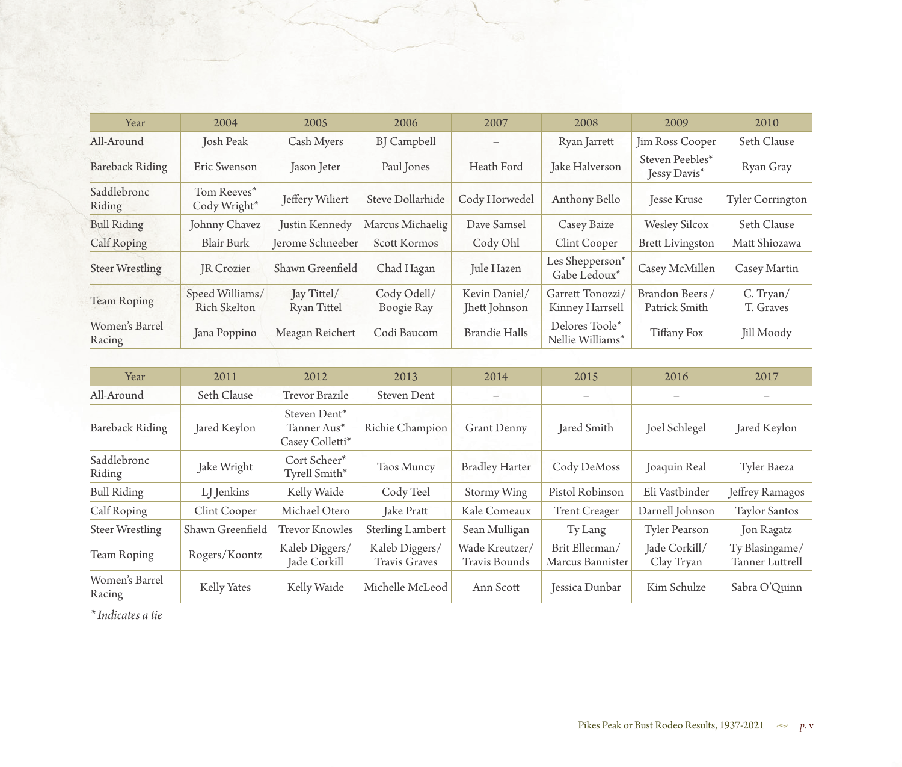| Year                     | 2004                            | 2005                       | 2006                      | 2007                           | 2008                                | 2009                             | 2010                    |
|--------------------------|---------------------------------|----------------------------|---------------------------|--------------------------------|-------------------------------------|----------------------------------|-------------------------|
| All-Around               | <b>Josh Peak</b>                | Cash Myers                 | <b>BJ</b> Campbell        | $\qquad \qquad -$              | Ryan Jarrett                        | Jim Ross Cooper                  | Seth Clause             |
| <b>Bareback Riding</b>   | Eric Swenson                    | Jason Jeter                | Paul Jones                | Heath Ford                     | Jake Halverson                      | Steven Peebles*<br>Jessy Davis*  | Ryan Gray               |
| Saddlebronc<br>Riding    | Tom Reeves*<br>Cody Wright*     | Jeffery Wiliert            | Steve Dollarhide          | Cody Horwedel                  | Anthony Bello                       | <b>Jesse Kruse</b>               | <b>Tyler Corrington</b> |
| <b>Bull Riding</b>       | Johnny Chavez                   | Justin Kennedy             | Marcus Michaelig          | Dave Samsel                    | Casey Baize                         | <b>Wesley Silcox</b>             | Seth Clause             |
| Calf Roping              | <b>Blair Burk</b>               | Jerome Schneeber           | Scott Kormos              | Cody Ohl                       | Clint Cooper                        | <b>Brett Livingston</b>          | Matt Shiozawa           |
| <b>Steer Wrestling</b>   | JR Crozier                      | Shawn Greenfield           | Chad Hagan                | Jule Hazen                     | Les Shepperson*<br>Gabe Ledoux*     | Casey McMillen                   | Casey Martin            |
| <b>Team Roping</b>       | Speed Williams/<br>Rich Skelton | Jay Tittel/<br>Ryan Tittel | Cody Odell/<br>Boogie Ray | Kevin Daniel/<br>Jhett Johnson | Garrett Tonozzi/<br>Kinney Harrsell | Brandon Beers /<br>Patrick Smith | C. Tryan/<br>T. Graves  |
| Women's Barrel<br>Racing | Jana Poppino                    | Meagan Reichert            | Codi Baucom               | <b>Brandie Halls</b>           | Delores Toole*<br>Nellie Williams*  | Tiffany Fox                      | Jill Moody              |

| Year                     | 2011             | 2012                                                       | 2013                                   | 2014                                   | 2015                               | 2016                        | 2017                              |
|--------------------------|------------------|------------------------------------------------------------|----------------------------------------|----------------------------------------|------------------------------------|-----------------------------|-----------------------------------|
| All-Around               | Seth Clause      | Trevor Brazile                                             | Steven Dent                            |                                        |                                    |                             |                                   |
| <b>Bareback Riding</b>   | Jared Keylon     | Steven Dent <sup>*</sup><br>Tanner Aus*<br>Casey Colletti* | Richie Champion                        | <b>Grant Denny</b>                     | Jared Smith                        | Joel Schlegel               | Jared Keylon                      |
| Saddlebronc<br>Riding    | Jake Wright      | Cort Scheer*<br>Tyrell Smith*                              | Taos Muncy                             | <b>Bradley Harter</b>                  | Cody DeMoss                        | Joaquin Real                | Tyler Baeza                       |
| <b>Bull Riding</b>       | LJ Jenkins       | Kelly Waide                                                | Cody Teel                              | Stormy Wing                            | Pistol Robinson                    | Eli Vastbinder              | Jeffrey Ramagos                   |
| Calf Roping              | Clint Cooper     | Michael Otero                                              | <b>Jake Pratt</b>                      | Kale Comeaux                           | <b>Trent Creager</b>               | Darnell Johnson             | <b>Taylor Santos</b>              |
| <b>Steer Wrestling</b>   | Shawn Greenfield | <b>Trevor Knowles</b>                                      | Sterling Lambert                       | Sean Mulligan                          | Ty Lang                            | <b>Tyler Pearson</b>        | Jon Ragatz                        |
| Team Roping              | Rogers/Koontz    | Kaleb Diggers/<br>Jade Corkill                             | Kaleb Diggers/<br><b>Travis Graves</b> | Wade Kreutzer/<br><b>Travis Bounds</b> | Brit Ellerman/<br>Marcus Bannister | Jade Corkill/<br>Clay Tryan | Ty Blasingame/<br>Tanner Luttrell |
| Women's Barrel<br>Racing | Kelly Yates      | Kelly Waide                                                | Michelle McLeod                        | Ann Scott                              | Jessica Dunbar                     | Kim Schulze                 | Sabra O'Ouinn                     |